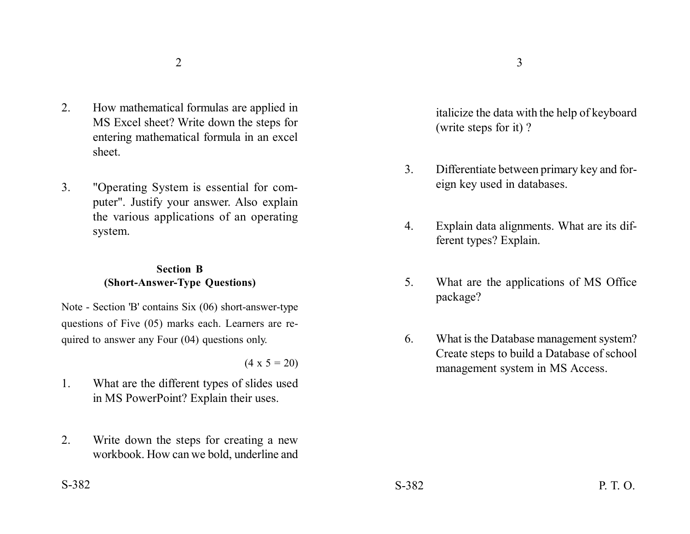- 2. How mathematical formulas are applied in MS Excel sheet? Write down the steps for entering mathematical formula in an excel sheet.
- 3. "Operating System is essential for computer". Justify your answer. Also explain the various applications of an operating system.

## **Section B (Short-Answer-Type Questions)**

Note - Section 'B' contains Six (06) short-answer-type questions of Five (05) marks each. Learners are required to answer any Four (04) questions only.

 $(4 \times 5 = 20)$ 

- 1. What are the different types of slides used in MS PowerPoint? Explain their uses.
- 2. Write down the steps for creating a new workbook. How can we bold, underline and

italicize the data with the help of keyboard (write steps for it) ?

- 3. Differentiate between primary key and foreign key used in databases.
- 4. Explain data alignments. What are its different types? Explain.
- 5. What are the applications of MS Office package?
- 6. What is the Database management system? Create steps to build a Database of school management system in MS Access.